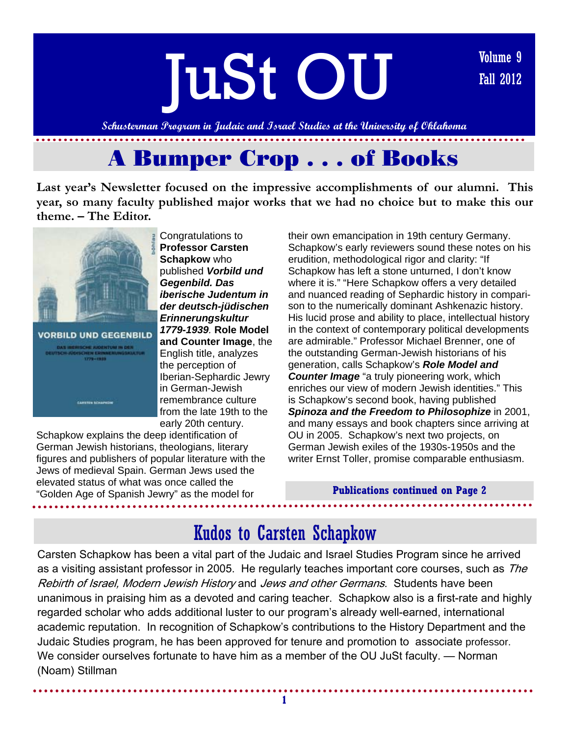

**Last year's Newsletter focused on the impressive accomplishments of our alumni. This year, so many faculty published major works that we had no choice but to make this our theme. – The Editor.** 





Congratulations to **Professor Carsten Schapkow** who published *Vorbild und Gegenbild. Das iberische Judentum in der deutsch-jüdischen Erinnerungskultur 1779-1939.* **Role Model and Counter Image**, the English title, analyzes the perception of Iberian-Sephardic Jewry in German-Jewish remembrance culture from the late 19th to the early 20th century.

Schapkow explains the deep identification of German Jewish historians, theologians, literary figures and publishers of popular literature with the Jews of medieval Spain. German Jews used the elevated status of what was once called the "Golden Age of Spanish Jewry" as the model for

their own emancipation in 19th century Germany. Schapkow's early reviewers sound these notes on his erudition, methodological rigor and clarity: "If Schapkow has left a stone unturned, I don't know where it is." "Here Schapkow offers a very detailed and nuanced reading of Sephardic history in comparison to the numerically dominant Ashkenazic history. His lucid prose and ability to place, intellectual history in the context of contemporary political developments are admirable." Professor Michael Brenner, one of the outstanding German-Jewish historians of his generation, calls Schapkow's *Role Model and Counter Image* "a truly pioneering work, which enriches our view of modern Jewish identities." This is Schapkow's second book, having published *Spinoza and the Freedom to Philosophize* in 2001, and many essays and book chapters since arriving at OU in 2005. Schapkow's next two projects, on German Jewish exiles of the 1930s-1950s and the writer Ernst Toller, promise comparable enthusiasm.

### **Publications continued on Page 2**

# Kudos to Carsten Schapkow

Carsten Schapkow has been a vital part of the Judaic and Israel Studies Program since he arrived as a visiting assistant professor in 2005. He regularly teaches important core courses, such as The Rebirth of Israel, Modern Jewish History and Jews and other Germans. Students have been unanimous in praising him as a devoted and caring teacher. Schapkow also is a first-rate and highly regarded scholar who adds additional luster to our program's already well-earned, international academic reputation. In recognition of Schapkow's contributions to the History Department and the Judaic Studies program, he has been approved for tenure and promotion to associate professor. We consider ourselves fortunate to have him as a member of the OU JuSt faculty. — Norman (Noam) Stillman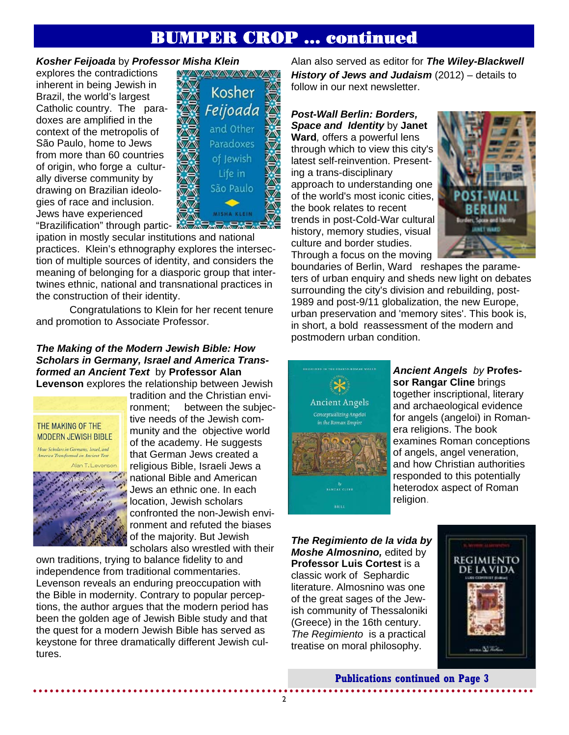# BUMPER CROP … continued

### *Kosher Feijoada* by *Professor Misha Klein*

explores the contradictions inherent in being Jewish in Brazil, the world's largest Catholic country. The paradoxes are amplified in the context of the metropolis of São Paulo, home to Jews from more than 60 countries of origin, who forge a culturally diverse community by drawing on Brazilian ideologies of race and inclusion. Jews have experienced **"Brazilification" through partic-**



ipation in mostly secular institutions and national practices. Klein's ethnography explores the intersection of multiple sources of identity, and considers the meaning of belonging for a diasporic group that intertwines ethnic, national and transnational practices in the construction of their identity.

 Congratulations to Klein for her recent tenure and promotion to Associate Professor.

### *The Making of the Modern Jewish Bible: How Scholars in Germany, Israel and America Transformed an Ancient Text*by **Professor Alan Levenson** explores the relationship between Jewish



tradition and the Christian environment; between the subjective needs of the Jewish community and the objective world of the academy. He suggests that German Jews created a religious Bible, Israeli Jews a national Bible and American Jews an ethnic one. In each location, Jewish scholars confronted the non-Jewish environment and refuted the biases of the majority. But Jewish scholars also wrestled with their

own traditions, trying to balance fidelity to and independence from traditional commentaries. Levenson reveals an enduring preoccupation with the Bible in modernity. Contrary to popular perceptions, the author argues that the modern period has been the golden age of Jewish Bible study and that the quest for a modern Jewish Bible has served as keystone for three dramatically different Jewish cultures.

Alan also served as editor for *The Wiley-Blackwell History of Jews and Judaism* (2012) – details to follow in our next newsletter.

### *Post-Wall Berlin: Borders, Space and Identity* by **Janet**

**Ward***,* offers a powerful lens through which to view this city's latest self-reinvention. Presenting a trans-disciplinary approach to understanding one of the world's most iconic cities, the book relates to recent trends in post-Cold-War cultural history, memory studies, visual culture and border studies. Through a focus on the moving



boundaries of Berlin, Ward reshapes the parameters of urban enquiry and sheds new light on debates surrounding the city's division and rebuilding, post-1989 and post-9/11 globalization, the new Europe, urban preservation and 'memory sites'. This book is, in short, a bold reassessment of the modern and postmodern urban condition.



### *Ancient Angels by* **Professor Rangar Cline** brings together inscriptional, literary and archaeological evidence for angels (angeloi) in Romanera religions. The book examines Roman conceptions of angels, angel veneration, and how Christian authorities responded to this potentially heterodox aspect of Roman religion.

*The Regimiento de la vida by Moshe Almosnino,* edited by **Professor Luis Cortest is a** classic work of Sephardic literature. Almosnino was one of the great sages of the Jewish community of Thessaloniki (Greece) in the 16th century. *The Regimiento* is a practical treatise on moral philosophy.



**Publications continued on Page 3**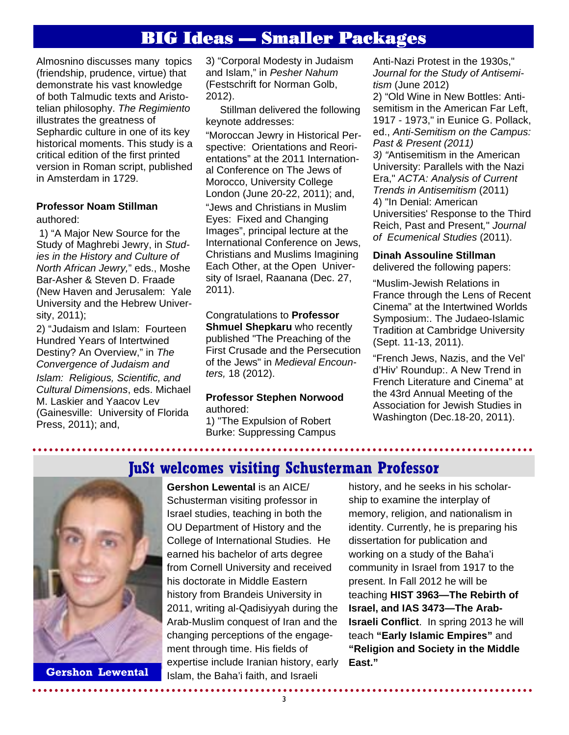# BIG Ideas — Smaller Packages

Almosnino discusses many topics (friendship, prudence, virtue) that demonstrate his vast knowledge of both Talmudic texts and Aristotelian philosophy. *The Regimiento*  illustrates the greatness of Sephardic culture in one of its key historical moments. This study is a critical edition of the first printed version in Roman script, published in Amsterdam in 1729.

### **Professor Noam Stillman**  authored:

 1) "A Major New Source for the Study of Maghrebi Jewry, in *Studies in the History and Culture of North African Jewry,*" eds., Moshe Bar-Asher & Steven D. Fraade (New Haven and Jerusalem: Yale University and the Hebrew University, 2011);

2) "Judaism and Islam: Fourteen Hundred Years of Intertwined Destiny? An Overview," in *The Convergence of Judaism and* 

*Islam: Religious, Scientific, and Cultural Dimensions*, eds. Michael M. Laskier and Yaacov Lev (Gainesville: University of Florida Press, 2011); and,

3) "Corporal Modesty in Judaism and Islam," in *Pesher Nahum*  (Festschrift for Norman Golb, 2012).

 Stillman delivered the following keynote addresses: "Moroccan Jewry in Historical Perspective: Orientations and Reorientations" at the 2011 International Conference on The Jews of Morocco, University College London (June 20-22, 2011); and, "Jews and Christians in Muslim Eyes: Fixed and Changing Images", principal lecture at the International Conference on Jews, Christians and Muslims Imagining Each Other, at the Open University of Israel, Raanana (Dec. 27, 2011).

Congratulations to **Professor Shmuel Shepkaru** who recently published "The Preaching of the First Crusade and the Persecution of the Jews" in *Medieval Encounters,* 18 (2012).

### **Professor Stephen Norwood**  authored:

1) "The Expulsion of Robert Burke: Suppressing Campus Anti-Nazi Protest in the 1930s," *Journal for the Study of Antisemitism* (June 2012)

2) "Old Wine in New Bottles: Antisemitism in the American Far Left, 1917 - 1973," in Eunice G. Pollack, ed., *Anti-Semitism on the Campus: Past & Present (2011) 3) "*Antisemitism in the American University: Parallels with the Nazi Era," *ACTA: Analysis of Current Trends in Antisemitism* (2011) 4) "In Denial: American Universities' Response to the Third Reich, Past and Present*,*" *Journal of Ecumenical Studies* (2011).

# **Dinah Assouline Stillman**

delivered the following papers:

"Muslim-Jewish Relations in France through the Lens of Recent Cinema" at the Intertwined Worlds Symposium:. The Judaeo-Islamic Tradition at Cambridge University (Sept. 11-13, 2011).

"French Jews, Nazis, and the Vel' d'Hiv' Roundup:. A New Trend in French Literature and Cinema" at the 43rd Annual Meeting of the Association for Jewish Studies in Washington (Dec.18-20, 2011).

**JuSt welcomes visiting Schusterman Professor** 



**Gershon Lewental** 

**Gershon Lewental** is an AICE/ Schusterman visiting professor in Israel studies, teaching in both the OU Department of History and the College of International Studies. He earned his bachelor of arts degree from Cornell University and received his doctorate in Middle Eastern history from Brandeis University in 2011, writing al-Qadisiyyah during the Arab-Muslim conquest of Iran and the changing perceptions of the engagement through time. His fields of expertise include Iranian history, early Islam, the Baha'i faith, and Israeli

history, and he seeks in his scholarship to examine the interplay of memory, religion, and nationalism in identity. Currently, he is preparing his dissertation for publication and working on a study of the Baha'i community in Israel from 1917 to the present. In Fall 2012 he will be teaching **HIST 3963—The Rebirth of Israel, and IAS 3473—The Arab-Israeli Conflict**. In spring 2013 he will teach **"Early Islamic Empires"** and **"Religion and Society in the Middle East."**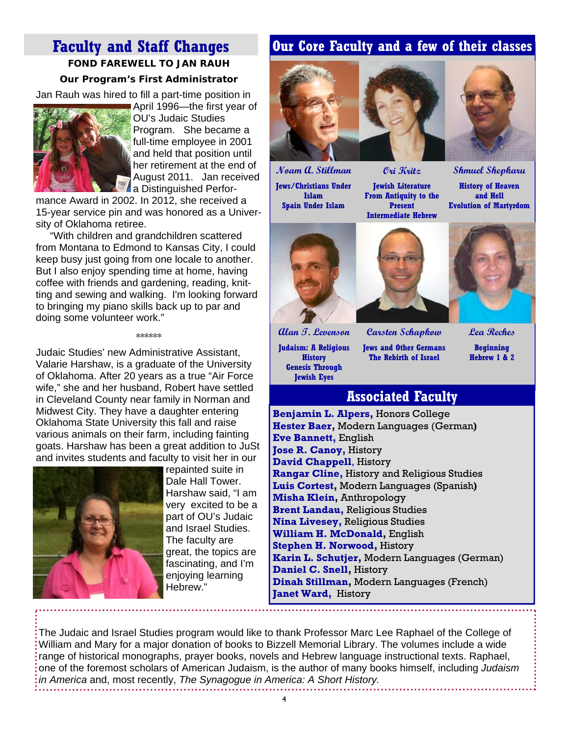# **Faculty and Staff Changes FOND FAREWELL TO JAN RAUH**

### **Our Program's First Administrator**

Jan Rauh was hired to fill a part-time position in



April 1996—the first year of OU's Judaic Studies Program. She became a full-time employee in 2001 and held that position until her retirement at the end of August 2011. Jan received **A** a Distinguished Perfor-

mance Award in 2002. In 2012, she received a 15-year service pin and was honored as a University of Oklahoma retiree.

 "With children and grandchildren scattered from Montana to Edmond to Kansas City, I could keep busy just going from one locale to another. But I also enjoy spending time at home, having coffee with friends and gardening, reading, knitting and sewing and walking. I'm looking forward to bringing my piano skills back up to par and doing some volunteer work."

#### \*\*\*\*\*\*

Judaic Studies' new Administrative Assistant, Valarie Harshaw, is a graduate of the University of Oklahoma. After 20 years as a true "Air Force wife," she and her husband, Robert have settled in Cleveland County near family in Norman and Midwest City. They have a daughter entering Oklahoma State University this fall and raise various animals on their farm, including fainting goats. Harshaw has been a great addition to JuSt and invites students and faculty to visit her in our



repainted suite in Dale Hall Tower. Harshaw said, "I am very excited to be a part of OU's Judaic and Israel Studies. The faculty are great, the topics are fascinating, and I'm enjoying learning Hebrew."

# **Our Core Faculty and a few of their classes**



**Ori Kritz** 

**Jewish Literature From Antiquity to the Present Intermediate Hebrew** 



**Shmuel Shepkaru History of Heaven and Hell Evolution of Martyrdom** 



**Noam A. Stillman Jews/Christians Under Islam Spain Under Islam** 



**Alan T. Levenson Judaism: A Religious History Genesis Through Jewish Eyes**

**Jews and Other Germans The Rebirth of Israel** 

**Carsten Schapkow**

**Lea Reches Beginning Hebrew 1 & 2** 

# **Associated Faculty**

**Benjamin L. Alpers,** Honors College **Hester Baer,** Modern Languages (German**) Eve Bannett,** English **Jose R. Canoy,** History **David Chappell**, History **Rangar Cline,** History and Religious Studies **Luis Cortest,** Modern Languages (Spanish**) Misha Klein,** Anthropology **Brent Landau,** Religious Studies **Nina Livesey,** Religious Studies **William H. McDonald,** English **Stephen H. Norwood,** History **Karin L. Schutjer,** Modern Languages (German) **Daniel C. Snell,** History **Dinah Stillman,** Modern Languages (French) **Janet Ward,** History

The Judaic and Israel Studies program would like to thank Professor Marc Lee Raphael of the College of William and Mary for a major donation of books to Bizzell Memorial Library. The volumes include a wide range of historical monographs, prayer books, novels and Hebrew language instructional texts. Raphael, one of the foremost scholars of American Judaism, is the author of many books himself, including *Judaism in America* and, most recently, *The Synagogue in America: A Short History.*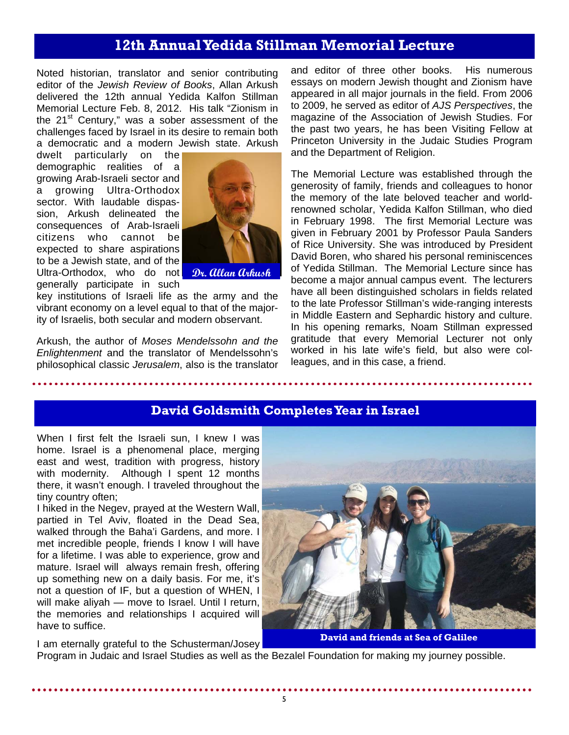# **12th Annual Yedida Stillman Memorial Lecture**

Noted historian, translator and senior contributing editor of the *Jewish Review of Books*, Allan Arkush delivered the 12th annual Yedida Kalfon Stillman Memorial Lecture Feb. 8, 2012. His talk "Zionism in the  $21<sup>st</sup>$  Century," was a sober assessment of the challenges faced by Israel in its desire to remain both a democratic and a modern Jewish state. Arkush

dwelt particularly on the demographic realities of a growing Arab-Israeli sector and a growing Ultra-Orthodox sector. With laudable dispassion, Arkush delineated the consequences of Arab-Israeli citizens who cannot be expected to share aspirations to be a Jewish state, and of the Ultra-Orthodox, who do not *Dr. Allan Arkush* generally participate in such



key institutions of Israeli life as the army and the vibrant economy on a level equal to that of the majority of Israelis, both secular and modern observant.

Arkush, the author of *Moses Mendelssohn and the Enlightenment* and the translator of Mendelssohn's philosophical classic *Jerusalem*, also is the translator and editor of three other books. His numerous essays on modern Jewish thought and Zionism have appeared in all major journals in the field. From 2006 to 2009, he served as editor of *AJS Perspectives*, the magazine of the Association of Jewish Studies. For the past two years, he has been Visiting Fellow at Princeton University in the Judaic Studies Program and the Department of Religion.

The Memorial Lecture was established through the generosity of family, friends and colleagues to honor the memory of the late beloved teacher and worldrenowned scholar, Yedida Kalfon Stillman, who died in February 1998. The first Memorial Lecture was given in February 2001 by Professor Paula Sanders of Rice University. She was introduced by President David Boren, who shared his personal reminiscences of Yedida Stillman. The Memorial Lecture since has become a major annual campus event. The lecturers have all been distinguished scholars in fields related to the late Professor Stillman's wide-ranging interests in Middle Eastern and Sephardic history and culture. In his opening remarks, Noam Stillman expressed gratitude that every Memorial Lecturer not only worked in his late wife's field, but also were colleagues, and in this case, a friend.

## **David Goldsmith Completes Year in Israel**

When I first felt the Israeli sun, I knew I was home. Israel is a phenomenal place, merging east and west, tradition with progress, history with modernity. Although I spent 12 months there, it wasn't enough. I traveled throughout the tiny country often;

I hiked in the Negev, prayed at the Western Wall, partied in Tel Aviv, floated in the Dead Sea, walked through the Baha'i Gardens, and more. I met incredible people, friends I know I will have for a lifetime. I was able to experience, grow and mature. Israel will always remain fresh, offering up something new on a daily basis. For me, it's not a question of IF, but a question of WHEN, I will make aliyah — move to Israel. Until I return, the memories and relationships I acquired will have to suffice.

I am eternally grateful to the Schusterman/Josey



**David and friends at Sea of Galilee** 

Program in Judaic and Israel Studies as well as the Bezalel Foundation for making my journey possible.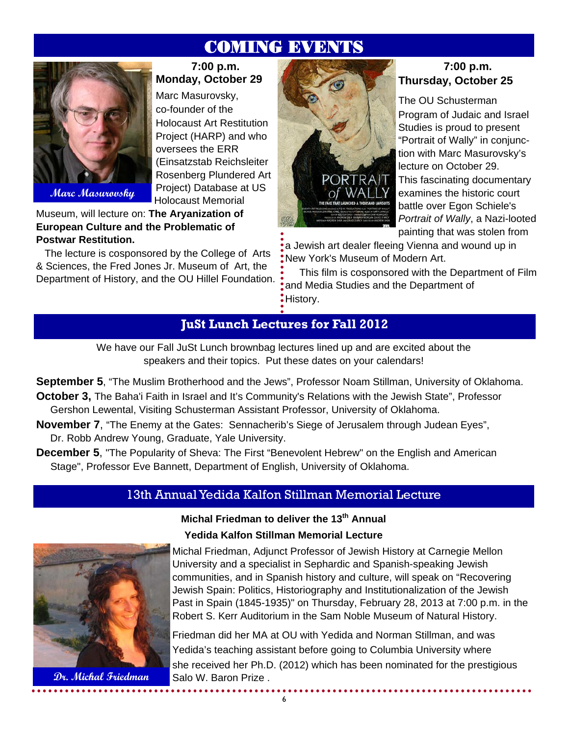# COMING EVENTS

**7:00 p.m. Monday, October 29** 

Holocaust Art Restitution Project (HARP) and who

(Einsatzstab Reichsleiter Rosenberg Plundered Art Project) Database at US Holocaust Memorial

Marc Masurovsky, co-founder of the

oversees the ERR



**Marc Masurovsky** 

Museum, will lecture on: **The Aryanization of European Culture and the Problematic of Postwar Restitution.**

 The lecture is cosponsored by the College of Arts & Sciences, the Fred Jones Jr. Museum of Art, the Department of History, and the OU Hillel Foundation.



## **7:00 p.m. Thursday, October 25**

The OU Schusterman Program of Judaic and Israel Studies is proud to present "Portrait of Wally" in conjunction with Marc Masurovsky's lecture on October 29. This fascinating documentary examines the historic court battle over Egon Schiele's *Portrait of Wally*, a Nazi-looted painting that was stolen from

a Jewish art dealer fleeing Vienna and wound up in New York's Museum of Modern Art.

 This film is cosponsored with the Department of Film and Media Studies and the Department of History.

# **JuSt Lunch Lectures for Fall 2012**

We have our Fall JuSt Lunch brownbag lectures lined up and are excited about the speakers and their topics. Put these dates on your calendars!

**September 5**, "The Muslim Brotherhood and the Jews", Professor Noam Stillman, University of Oklahoma.

- **October 3,** The Baha'i Faith in Israel and It's Community's Relations with the Jewish State", Professor Gershon Lewental, Visiting Schusterman Assistant Professor, University of Oklahoma.
- **November 7**, "The Enemy at the Gates: Sennacherib's Siege of Jerusalem through Judean Eyes", Dr. Robb Andrew Young, Graduate, Yale University.
- **December 5**, "The Popularity of Sheva: The First "Benevolent Hebrew" on the English and American Stage", Professor Eve Bannett, Department of English, University of Oklahoma.

# 13th Annual Yedida Kalfon Stillman Memorial Lecture



**Michal Friedman to deliver the 13<sup>th</sup> Annual Yedida Kalfon Stillman Memorial Lecture** 

Michal Friedman, Adjunct Professor of Jewish History at Carnegie Mellon University and a specialist in Sephardic and Spanish-speaking Jewish communities, and in Spanish history and culture, will speak on "Recovering Jewish Spain: Politics, Historiography and Institutionalization of the Jewish Past in Spain (1845-1935)" on Thursday, February 28, 2013 at 7:00 p.m. in the Robert S. Kerr Auditorium in the Sam Noble Museum of Natural History.

Friedman did her MA at OU with Yedida and Norman Stillman, and was Yedida's teaching assistant before going to Columbia University where she received her Ph.D. (2012) which has been nominated for the prestigious Dr. Michal Friedman Salo W. Baron Prize .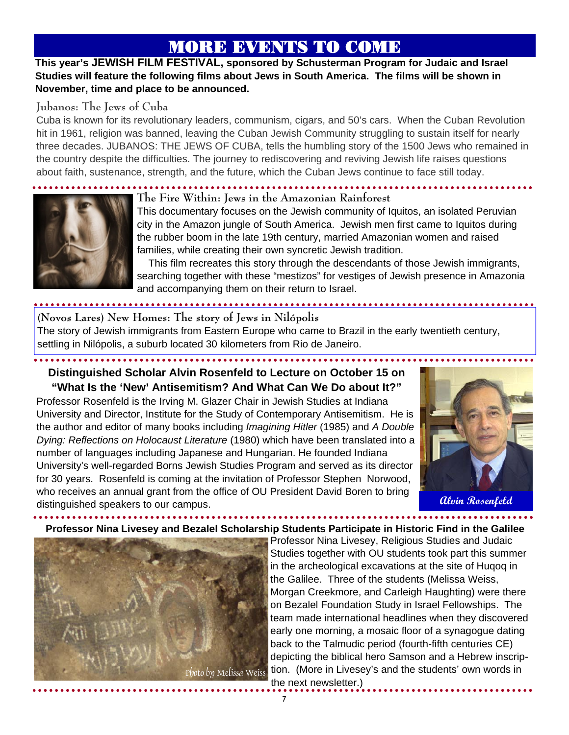# MORE EVENTS TO COME

## **This year's JEWISH FILM FESTIVAL, sponsored by Schusterman Program for Judaic and Israel Studies will feature the following films about Jews in South America. The films will be shown in November, time and place to be announced.**

## **Jubanos: The Jews of Cuba**

Cuba is known for its revolutionary leaders, communism, cigars, and 50's cars. When the Cuban Revolution hit in 1961, religion was banned, leaving the Cuban Jewish Community struggling to sustain itself for nearly three decades. JUBANOS: THE JEWS OF CUBA, tells the humbling story of the 1500 Jews who remained in the country despite the difficulties. The journey to rediscovering and reviving Jewish life raises questions about faith, sustenance, strength, and the future, which the Cuban Jews continue to face still today.



## **The Fire Within: Jews in the Amazonian Rainforest**

This documentary focuses on the Jewish community of Iquitos, an isolated Peruvian city in the Amazon jungle of South America. Jewish men first came to Iquitos during the rubber boom in the late 19th century, married Amazonian women and raised families, while creating their own syncretic Jewish tradition.

 This film recreates this story through the descendants of those Jewish immigrants, searching together with these "mestizos" for vestiges of Jewish presence in Amazonia and accompanying them on their return to Israel.

# **(Novos Lares) New Homes: The story of Jews in Nilópolis**

The story of Jewish immigrants from Eastern Europe who came to Brazil in the early twentieth century, settling in Nilópolis, a suburb located 30 kilometers from Rio de Janeiro.

## **Distinguished Scholar Alvin Rosenfeld to Lecture on October 15 on "What Is the 'New' Antisemitism? And What Can We Do about It?"**  Professor Rosenfeld is the Irving M. Glazer Chair in Jewish Studies at Indiana University and Director, Institute for the Study of Contemporary Antisemitism. He is the author and editor of many books including *Imagining Hitler* (1985) and *A Double Dying: Reflections on Holocaust Literature* (1980) which have been translated into a

number of languages including Japanese and Hungarian. He founded Indiana University's well-regarded Borns Jewish Studies Program and served as its director for 30 years. Rosenfeld is coming at the invitation of Professor Stephen Norwood, who receives an annual grant from the office of OU President David Boren to bring distinguished speakers to our campus.



## **Professor Nina Livesey and Bezalel Scholarship Students Participate in Historic Find in the Galilee**



Professor Nina Livesey, Religious Studies and Judaic Studies together with OU students took part this summer in the archeological excavations at the site of Huqoq in the Galilee. Three of the students (Melissa Weiss, Morgan Creekmore, and Carleigh Haughting) were there on Bezalel Foundation Study in Israel Fellowships. The team made international headlines when they discovered early one morning, a mosaic floor of a synagogue dating back to the Talmudic period (fourth-fifth centuries CE) depicting the biblical hero Samson and a Hebrew inscription. (More in Livesey's and the students' own words in the next newsletter.)